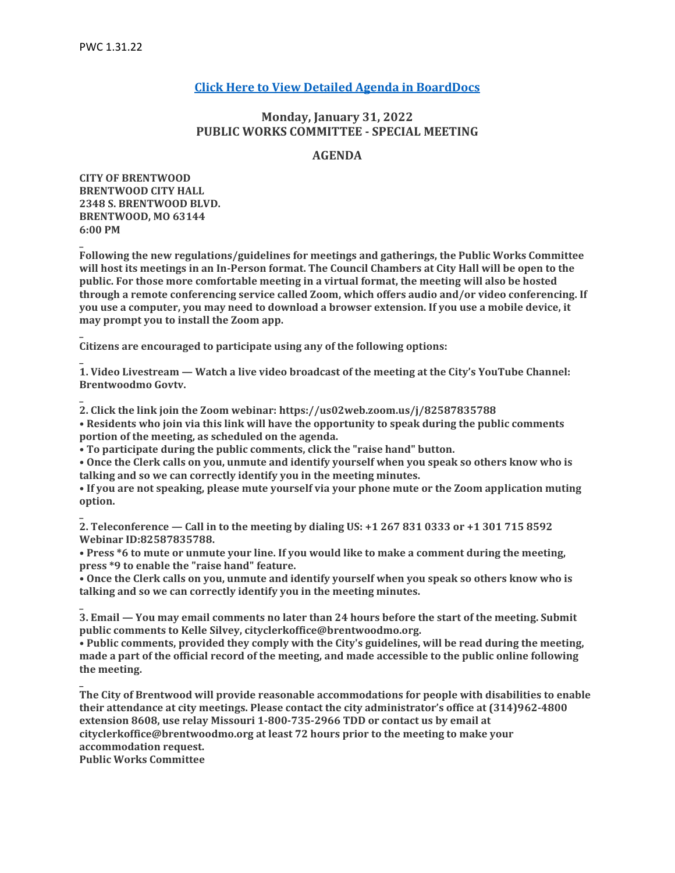**\_**

**\_**

**\_**

**\_**

**\_**

**\_**

**\_**

# **[Click Here to View Detailed Agenda in BoardDocs](http://go.boarddocs.com/mo/cob/Board.nsf/goto?open&id=CANRL96B2054)**

# **Monday, January 31, 2022 PUBLIC WORKS COMMITTEE - SPECIAL MEETING**

## **AGENDA**

**CITY OF BRENTWOOD BRENTWOOD CITY HALL 2348 S. BRENTWOOD BLVD. BRENTWOOD, MO 63144 6:00 PM**

**Following the new regulations/guidelines for meetings and gatherings, the Public Works Committee will host its meetings in an In-Person format. The Council Chambers at City Hall will be open to the public. For those more comfortable meeting in a virtual format, the meeting will also be hosted through a remote conferencing service called Zoom, which offers audio and/or video conferencing. If you use a computer, you may need to download a browser extension. If you use a mobile device, it may prompt you to install the Zoom app.**

**Citizens are encouraged to participate using any of the following options:**

**1. Video Livestream — Watch a live video broadcast of the meeting at the City's YouTube Channel: Brentwoodmo Govtv.**

**2. Click the link join the Zoom webinar: https://us02web.zoom.us/j/82587835788**

**• Residents who join via this link will have the opportunity to speak during the public comments portion of the meeting, as scheduled on the agenda.**

**• To participate during the public comments, click the "raise hand" button.**

**• Once the Clerk calls on you, unmute and identify yourself when you speak so others know who is talking and so we can correctly identify you in the meeting minutes.**

**• If you are not speaking, please mute yourself via your phone mute or the Zoom application muting option.**

**2. Teleconference — Call in to the meeting by dialing US: +1 267 831 0333 or +1 301 715 8592 Webinar ID:82587835788.**

**• Press \*6 to mute or unmute your line. If you would like to make a comment during the meeting, press \*9 to enable the "raise hand" feature.**

**• Once the Clerk calls on you, unmute and identify yourself when you speak so others know who is talking and so we can correctly identify you in the meeting minutes.**

**3. Email — You may email comments no later than 24 hours before the start of the meeting. Submit public comments to Kelle Silvey, cityclerkoffice@brentwoodmo.org.**

**• Public comments, provided they comply with the City's guidelines, will be read during the meeting, made a part of the official record of the meeting, and made accessible to the public online following the meeting.**

**The City of Brentwood will provide reasonable accommodations for people with disabilities to enable their attendance at city meetings. Please contact the city administrator's office at (314)962-4800 extension 8608, use relay Missouri 1-800-735-2966 TDD or contact us by email at cityclerkoffice@brentwoodmo.org at least 72 hours prior to the meeting to make your accommodation request. Public Works Committee**